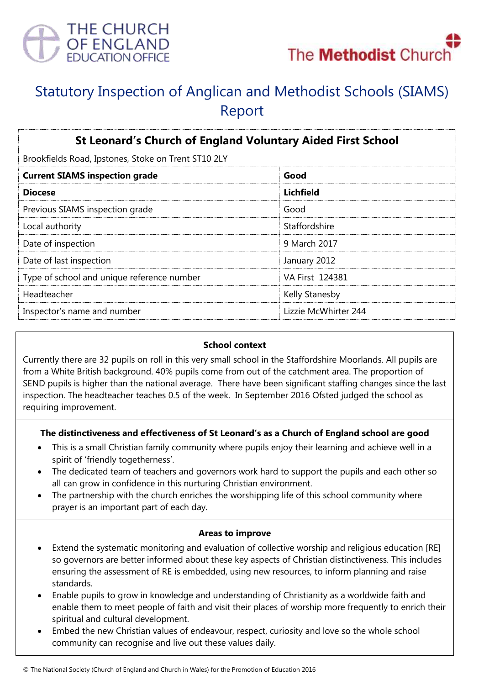



# Statutory Inspection of Anglican and Methodist Schools (SIAMS) Report

| <b>St Leonard's Church of England Voluntary Aided First School</b><br>Brookfields Road, Ipstones, Stoke on Trent ST10 2LY |                      |
|---------------------------------------------------------------------------------------------------------------------------|----------------------|
|                                                                                                                           |                      |
| <b>Diocese</b>                                                                                                            | Lichfield            |
| Previous SIAMS inspection grade                                                                                           | Good                 |
| Local authority                                                                                                           | Staffordshire        |
| Date of inspection                                                                                                        | 9 March 2017         |
| Date of last inspection                                                                                                   | January 2012         |
| Type of school and unique reference number                                                                                | VA First 124381      |
| Headteacher                                                                                                               | Kelly Stanesby       |
| Inspector's name and number                                                                                               | Lizzie McWhirter 244 |

## **School context**

Currently there are 32 pupils on roll in this very small school in the Staffordshire Moorlands. All pupils are from a White British background. 40% pupils come from out of the catchment area. The proportion of SEND pupils is higher than the national average. There have been significant staffing changes since the last inspection. The headteacher teaches 0.5 of the week. In September 2016 Ofsted judged the school as requiring improvement.

## **The distinctiveness and effectiveness of St Leonard's as a Church of England school are good**

- This is a small Christian family community where pupils enjoy their learning and achieve well in a spirit of 'friendly togetherness'.
- The dedicated team of teachers and governors work hard to support the pupils and each other so all can grow in confidence in this nurturing Christian environment.
- The partnership with the church enriches the worshipping life of this school community where prayer is an important part of each day.

### **Areas to improve**

- Extend the systematic monitoring and evaluation of collective worship and religious education [RE] so governors are better informed about these key aspects of Christian distinctiveness. This includes ensuring the assessment of RE is embedded, using new resources, to inform planning and raise standards.
- Enable pupils to grow in knowledge and understanding of Christianity as a worldwide faith and enable them to meet people of faith and visit their places of worship more frequently to enrich their spiritual and cultural development.
- Embed the new Christian values of endeavour, respect, curiosity and love so the whole school community can recognise and live out these values daily.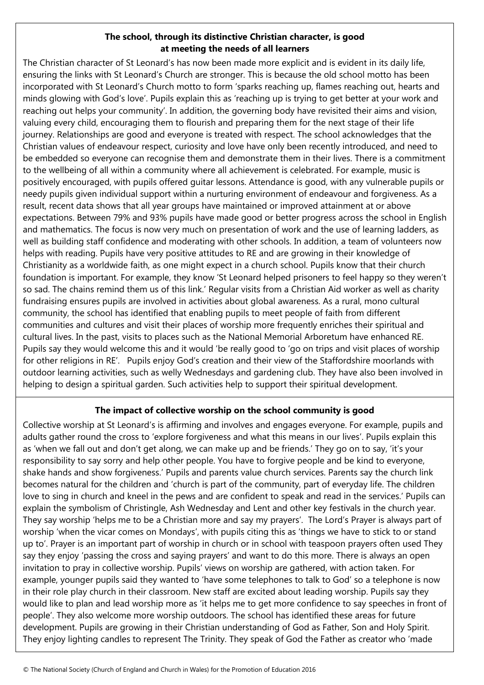## **The school, through its distinctive Christian character, is good at meeting the needs of all learners**

The Christian character of St Leonard's has now been made more explicit and is evident in its daily life, ensuring the links with St Leonard's Church are stronger. This is because the old school motto has been incorporated with St Leonard's Church motto to form 'sparks reaching up, flames reaching out, hearts and minds glowing with God's love'. Pupils explain this as 'reaching up is trying to get better at your work and reaching out helps your community'. In addition, the governing body have revisited their aims and vision, valuing every child, encouraging them to flourish and preparing them for the next stage of their life journey. Relationships are good and everyone is treated with respect. The school acknowledges that the Christian values of endeavour respect, curiosity and love have only been recently introduced, and need to be embedded so everyone can recognise them and demonstrate them in their lives. There is a commitment to the wellbeing of all within a community where all achievement is celebrated. For example, music is positively encouraged, with pupils offered guitar lessons. Attendance is good, with any vulnerable pupils or needy pupils given individual support within a nurturing environment of endeavour and forgiveness. As a result, recent data shows that all year groups have maintained or improved attainment at or above expectations. Between 79% and 93% pupils have made good or better progress across the school in English and mathematics. The focus is now very much on presentation of work and the use of learning ladders, as well as building staff confidence and moderating with other schools. In addition, a team of volunteers now helps with reading. Pupils have very positive attitudes to RE and are growing in their knowledge of Christianity as a worldwide faith, as one might expect in a church school. Pupils know that their church foundation is important. For example, they know 'St Leonard helped prisoners to feel happy so they weren't so sad. The chains remind them us of this link.' Regular visits from a Christian Aid worker as well as charity fundraising ensures pupils are involved in activities about global awareness. As a rural, mono cultural community, the school has identified that enabling pupils to meet people of faith from different communities and cultures and visit their places of worship more frequently enriches their spiritual and cultural lives. In the past, visits to places such as the National Memorial Arboretum have enhanced RE. Pupils say they would welcome this and it would 'be really good to 'go on trips and visit places of worship for other religions in RE'. Pupils enjoy God's creation and their view of the Staffordshire moorlands with outdoor learning activities, such as welly Wednesdays and gardening club. They have also been involved in helping to design a spiritual garden. Such activities help to support their spiritual development.

# **The impact of collective worship on the school community is good**

Collective worship at St Leonard's is affirming and involves and engages everyone. For example, pupils and adults gather round the cross to 'explore forgiveness and what this means in our lives'. Pupils explain this as 'when we fall out and don't get along, we can make up and be friends.' They go on to say, 'it's your responsibility to say sorry and help other people. You have to forgive people and be kind to everyone, shake hands and show forgiveness.' Pupils and parents value church services. Parents say the church link becomes natural for the children and 'church is part of the community, part of everyday life. The children love to sing in church and kneel in the pews and are confident to speak and read in the services.' Pupils can explain the symbolism of Christingle, Ash Wednesday and Lent and other key festivals in the church year. They say worship 'helps me to be a Christian more and say my prayers'. The Lord's Prayer is always part of worship 'when the vicar comes on Mondays', with pupils citing this as 'things we have to stick to or stand up to'. Prayer is an important part of worship in church or in school with teaspoon prayers often used They say they enjoy 'passing the cross and saying prayers' and want to do this more. There is always an open invitation to pray in collective worship. Pupils' views on worship are gathered, with action taken. For example, younger pupils said they wanted to 'have some telephones to talk to God' so a telephone is now in their role play church in their classroom. New staff are excited about leading worship. Pupils say they would like to plan and lead worship more as 'it helps me to get more confidence to say speeches in front of people'. They also welcome more worship outdoors. The school has identified these areas for future development. Pupils are growing in their Christian understanding of God as Father, Son and Holy Spirit. They enjoy lighting candles to represent The Trinity. They speak of God the Father as creator who 'made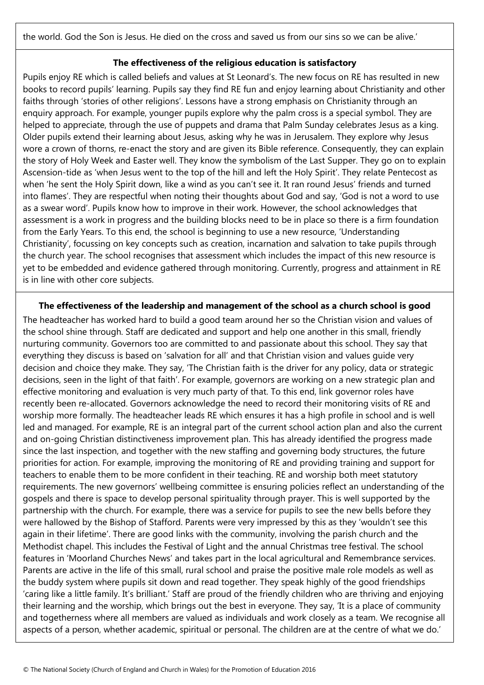the world. God the Son is Jesus. He died on the cross and saved us from our sins so we can be alive.'

### **The effectiveness of the religious education is satisfactory**

Pupils enjoy RE which is called beliefs and values at St Leonard's. The new focus on RE has resulted in new books to record pupils' learning. Pupils say they find RE fun and enjoy learning about Christianity and other faiths through 'stories of other religions'. Lessons have a strong emphasis on Christianity through an enquiry approach. For example, younger pupils explore why the palm cross is a special symbol. They are helped to appreciate, through the use of puppets and drama that Palm Sunday celebrates Jesus as a king. Older pupils extend their learning about Jesus, asking why he was in Jerusalem. They explore why Jesus wore a crown of thorns, re-enact the story and are given its Bible reference. Consequently, they can explain the story of Holy Week and Easter well. They know the symbolism of the Last Supper. They go on to explain Ascension-tide as 'when Jesus went to the top of the hill and left the Holy Spirit'. They relate Pentecost as when 'he sent the Holy Spirit down, like a wind as you can't see it. It ran round Jesus' friends and turned into flames'. They are respectful when noting their thoughts about God and say, 'God is not a word to use as a swear word'. Pupils know how to improve in their work. However, the school acknowledges that assessment is a work in progress and the building blocks need to be in place so there is a firm foundation from the Early Years. To this end, the school is beginning to use a new resource, 'Understanding Christianity', focussing on key concepts such as creation, incarnation and salvation to take pupils through the church year. The school recognises that assessment which includes the impact of this new resource is yet to be embedded and evidence gathered through monitoring. Currently, progress and attainment in RE is in line with other core subjects.

#### **The effectiveness of the leadership and management of the school as a church school is good**

The headteacher has worked hard to build a good team around her so the Christian vision and values of the school shine through. Staff are dedicated and support and help one another in this small, friendly nurturing community. Governors too are committed to and passionate about this school. They say that everything they discuss is based on 'salvation for all' and that Christian vision and values guide very decision and choice they make. They say, 'The Christian faith is the driver for any policy, data or strategic decisions, seen in the light of that faith'. For example, governors are working on a new strategic plan and effective monitoring and evaluation is very much party of that. To this end, link governor roles have recently been re-allocated. Governors acknowledge the need to record their monitoring visits of RE and worship more formally. The headteacher leads RE which ensures it has a high profile in school and is well led and managed. For example, RE is an integral part of the current school action plan and also the current and on-going Christian distinctiveness improvement plan. This has already identified the progress made since the last inspection, and together with the new staffing and governing body structures, the future priorities for action. For example, improving the monitoring of RE and providing training and support for teachers to enable them to be more confident in their teaching. RE and worship both meet statutory requirements. The new governors' wellbeing committee is ensuring policies reflect an understanding of the gospels and there is space to develop personal spirituality through prayer. This is well supported by the partnership with the church. For example, there was a service for pupils to see the new bells before they were hallowed by the Bishop of Stafford. Parents were very impressed by this as they 'wouldn't see this again in their lifetime'. There are good links with the community, involving the parish church and the Methodist chapel. This includes the Festival of Light and the annual Christmas tree festival. The school features in 'Moorland Churches News' and takes part in the local agricultural and Remembrance services. Parents are active in the life of this small, rural school and praise the positive male role models as well as the buddy system where pupils sit down and read together. They speak highly of the good friendships 'caring like a little family. It's brilliant.' Staff are proud of the friendly children who are thriving and enjoying their learning and the worship, which brings out the best in everyone. They say, 'It is a place of community and togetherness where all members are valued as individuals and work closely as a team. We recognise all aspects of a person, whether academic, spiritual or personal. The children are at the centre of what we do.'